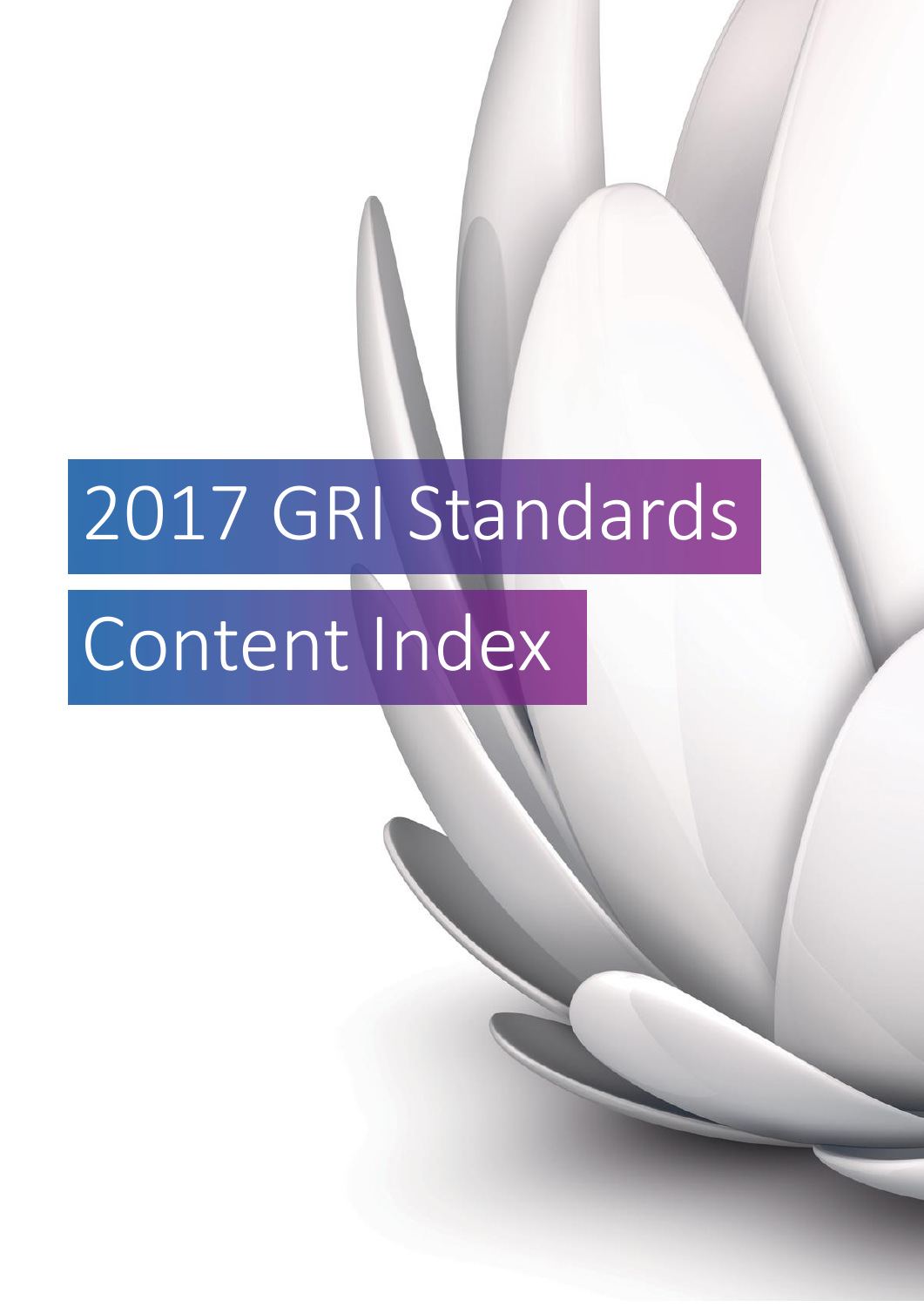# 2017 GRI Standards

## Content Index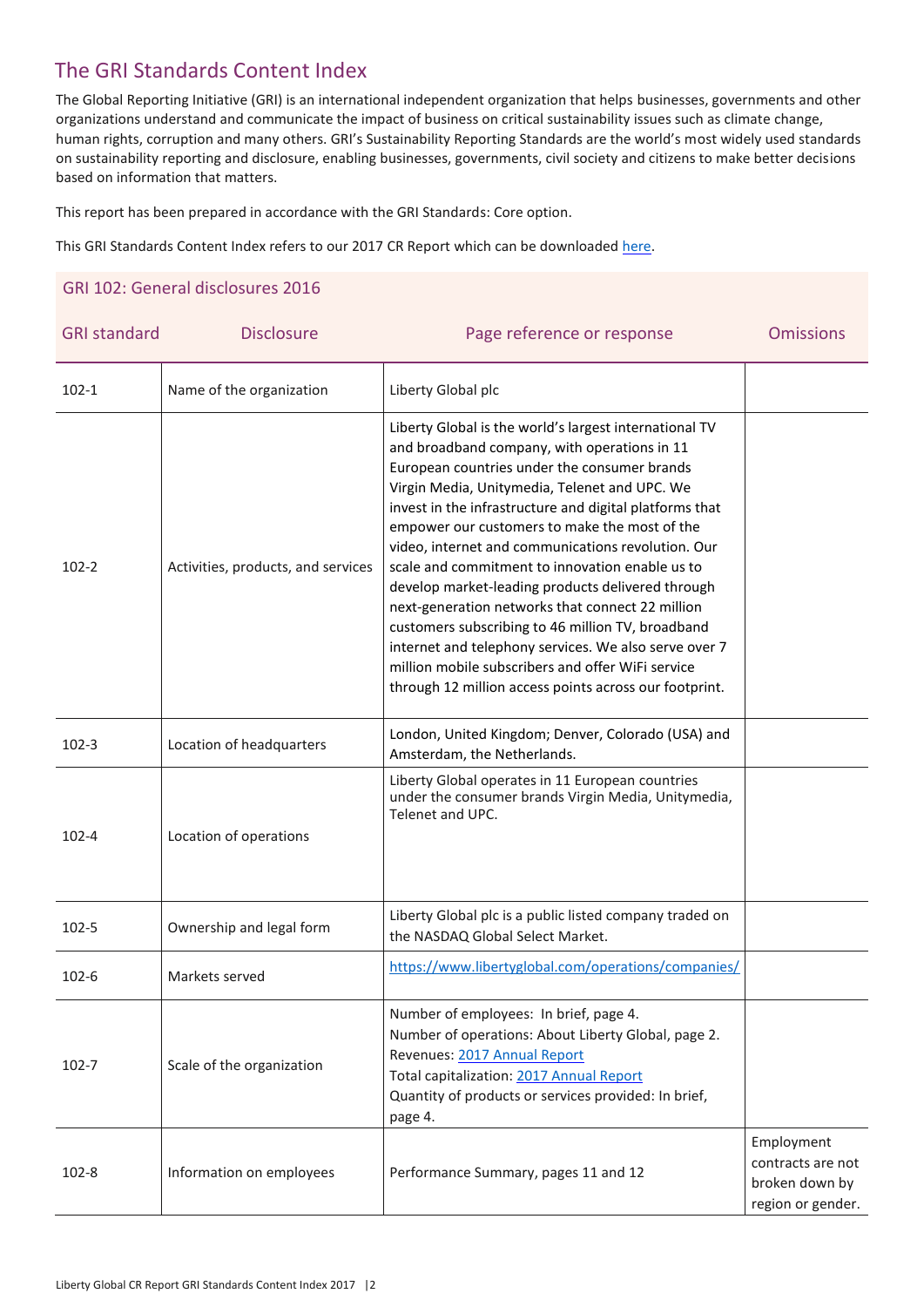### The GRI Standards Content Index

The Global Reporting Initiative (GRI) is an international independent organization that helps businesses, governments and other organizations understand and communicate the impact of business on critical sustainability issues such as climate change, human rights, corruption and many others. GRI's Sustainability Reporting Standards are the world's most widely used standards on sustainability reporting and disclosure, enabling businesses, governments, civil society and citizens to make better decisions based on information that matters.

This report has been prepared in accordance with the GRI Standards: Core option.

This GRI Standards Content Index refers to our 2017 CR Report which can be downloaded [here.](https://www.libertyglobal.com/responsibility/reporting-and-performance/)

#### GRI 102: General disclosures 2016

| <b>GRI standard</b> | <b>Disclosure</b>                  | Page reference or response                                                                                                                                                                                                                                                                                                                                                                                                                                                                                                                                                                                                                                                                                                                                         | <b>Omissions</b>                                                       |
|---------------------|------------------------------------|--------------------------------------------------------------------------------------------------------------------------------------------------------------------------------------------------------------------------------------------------------------------------------------------------------------------------------------------------------------------------------------------------------------------------------------------------------------------------------------------------------------------------------------------------------------------------------------------------------------------------------------------------------------------------------------------------------------------------------------------------------------------|------------------------------------------------------------------------|
| $102 - 1$           | Name of the organization           | Liberty Global plc                                                                                                                                                                                                                                                                                                                                                                                                                                                                                                                                                                                                                                                                                                                                                 |                                                                        |
| $102 - 2$           | Activities, products, and services | Liberty Global is the world's largest international TV<br>and broadband company, with operations in 11<br>European countries under the consumer brands<br>Virgin Media, Unitymedia, Telenet and UPC. We<br>invest in the infrastructure and digital platforms that<br>empower our customers to make the most of the<br>video, internet and communications revolution. Our<br>scale and commitment to innovation enable us to<br>develop market-leading products delivered through<br>next-generation networks that connect 22 million<br>customers subscribing to 46 million TV, broadband<br>internet and telephony services. We also serve over 7<br>million mobile subscribers and offer WiFi service<br>through 12 million access points across our footprint. |                                                                        |
| $102 - 3$           | Location of headquarters           | London, United Kingdom; Denver, Colorado (USA) and<br>Amsterdam, the Netherlands.                                                                                                                                                                                                                                                                                                                                                                                                                                                                                                                                                                                                                                                                                  |                                                                        |
| $102 - 4$           | Location of operations             | Liberty Global operates in 11 European countries<br>under the consumer brands Virgin Media, Unitymedia,<br>Telenet and UPC.                                                                                                                                                                                                                                                                                                                                                                                                                                                                                                                                                                                                                                        |                                                                        |
| $102 - 5$           | Ownership and legal form           | Liberty Global plc is a public listed company traded on<br>the NASDAQ Global Select Market.                                                                                                                                                                                                                                                                                                                                                                                                                                                                                                                                                                                                                                                                        |                                                                        |
| $102 - 6$           | Markets served                     | https://www.libertyglobal.com/operations/companies/                                                                                                                                                                                                                                                                                                                                                                                                                                                                                                                                                                                                                                                                                                                |                                                                        |
| $102 - 7$           | Scale of the organization          | Number of employees: In brief, page 4.<br>Number of operations: About Liberty Global, page 2.<br>Revenues: 2017 Annual Report<br>Total capitalization: 2017 Annual Report<br>Quantity of products or services provided: In brief,<br>page 4.                                                                                                                                                                                                                                                                                                                                                                                                                                                                                                                       |                                                                        |
| 102-8               | Information on employees           | Performance Summary, pages 11 and 12                                                                                                                                                                                                                                                                                                                                                                                                                                                                                                                                                                                                                                                                                                                               | Employment<br>contracts are not<br>broken down by<br>region or gender. |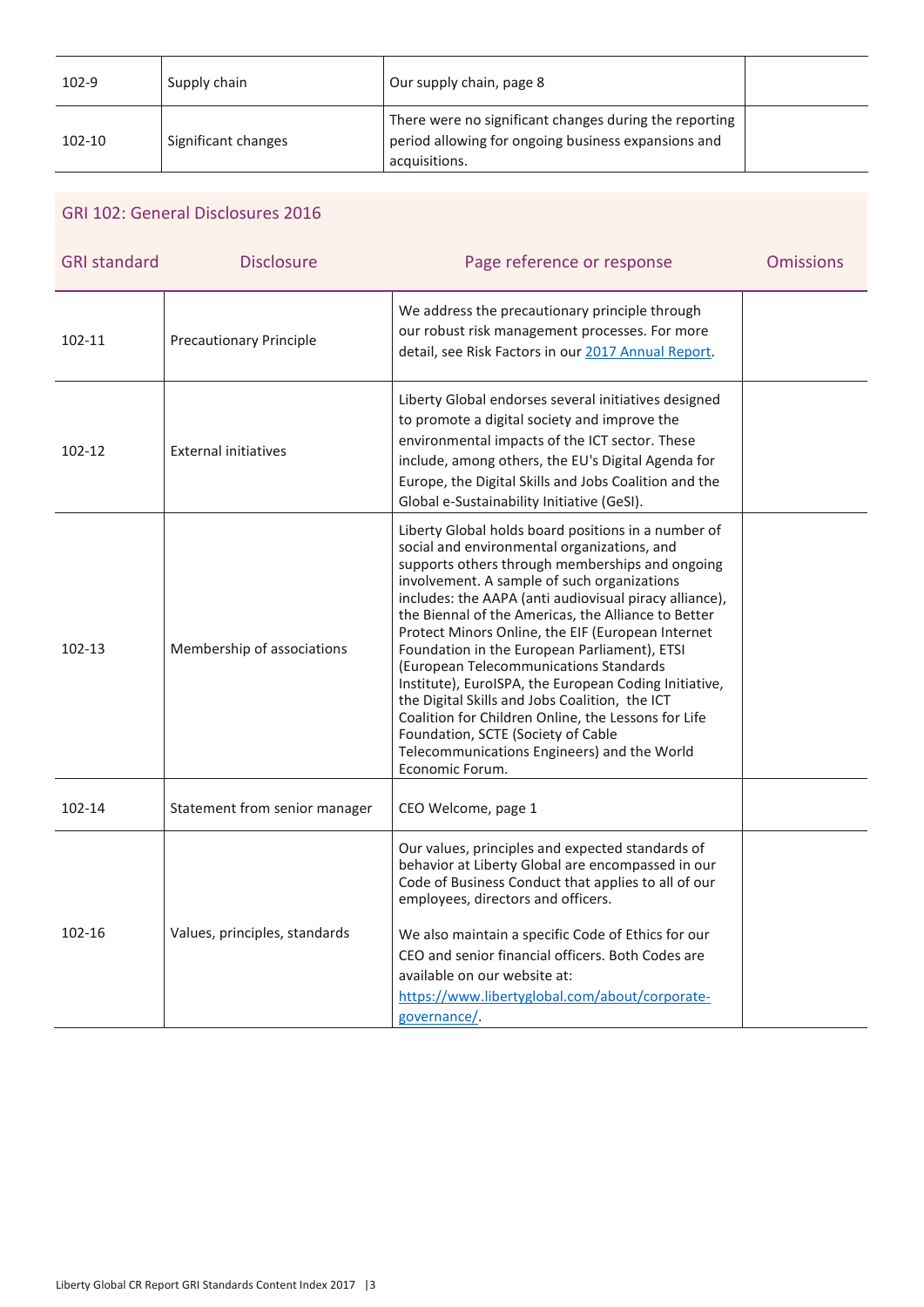| 102-9    | Supply chain        | Our supply chain, page 8                                                                                                       |  |
|----------|---------------------|--------------------------------------------------------------------------------------------------------------------------------|--|
| $102-10$ | Significant changes | There were no significant changes during the reporting<br>period allowing for ongoing business expansions and<br>acquisitions. |  |

#### GRI 102: General Disclosures 2016

| <b>Disclosure</b>              | Page reference or response                                                                                                                                                                                                                                                                                                                                                                                                                                                                                                                                                                                                                                                                                                                     | <b>Omissions</b> |
|--------------------------------|------------------------------------------------------------------------------------------------------------------------------------------------------------------------------------------------------------------------------------------------------------------------------------------------------------------------------------------------------------------------------------------------------------------------------------------------------------------------------------------------------------------------------------------------------------------------------------------------------------------------------------------------------------------------------------------------------------------------------------------------|------------------|
| <b>Precautionary Principle</b> | We address the precautionary principle through<br>our robust risk management processes. For more<br>detail, see Risk Factors in our 2017 Annual Report.                                                                                                                                                                                                                                                                                                                                                                                                                                                                                                                                                                                        |                  |
| <b>External initiatives</b>    | Liberty Global endorses several initiatives designed<br>to promote a digital society and improve the<br>environmental impacts of the ICT sector. These<br>include, among others, the EU's Digital Agenda for<br>Europe, the Digital Skills and Jobs Coalition and the<br>Global e-Sustainability Initiative (GeSI).                                                                                                                                                                                                                                                                                                                                                                                                                            |                  |
| Membership of associations     | Liberty Global holds board positions in a number of<br>social and environmental organizations, and<br>supports others through memberships and ongoing<br>involvement. A sample of such organizations<br>includes: the AAPA (anti audiovisual piracy alliance),<br>the Biennal of the Americas, the Alliance to Better<br>Protect Minors Online, the EIF (European Internet<br>Foundation in the European Parliament), ETSI<br>(European Telecommunications Standards<br>Institute), EuroISPA, the European Coding Initiative,<br>the Digital Skills and Jobs Coalition, the ICT<br>Coalition for Children Online, the Lessons for Life<br>Foundation, SCTE (Society of Cable<br>Telecommunications Engineers) and the World<br>Economic Forum. |                  |
| Statement from senior manager  | CEO Welcome, page 1                                                                                                                                                                                                                                                                                                                                                                                                                                                                                                                                                                                                                                                                                                                            |                  |
| Values, principles, standards  | Our values, principles and expected standards of<br>behavior at Liberty Global are encompassed in our<br>Code of Business Conduct that applies to all of our<br>employees, directors and officers.<br>We also maintain a specific Code of Ethics for our<br>CEO and senior financial officers. Both Codes are<br>available on our website at:<br>https://www.libertyglobal.com/about/corporate-                                                                                                                                                                                                                                                                                                                                                |                  |
|                                |                                                                                                                                                                                                                                                                                                                                                                                                                                                                                                                                                                                                                                                                                                                                                | governance/.     |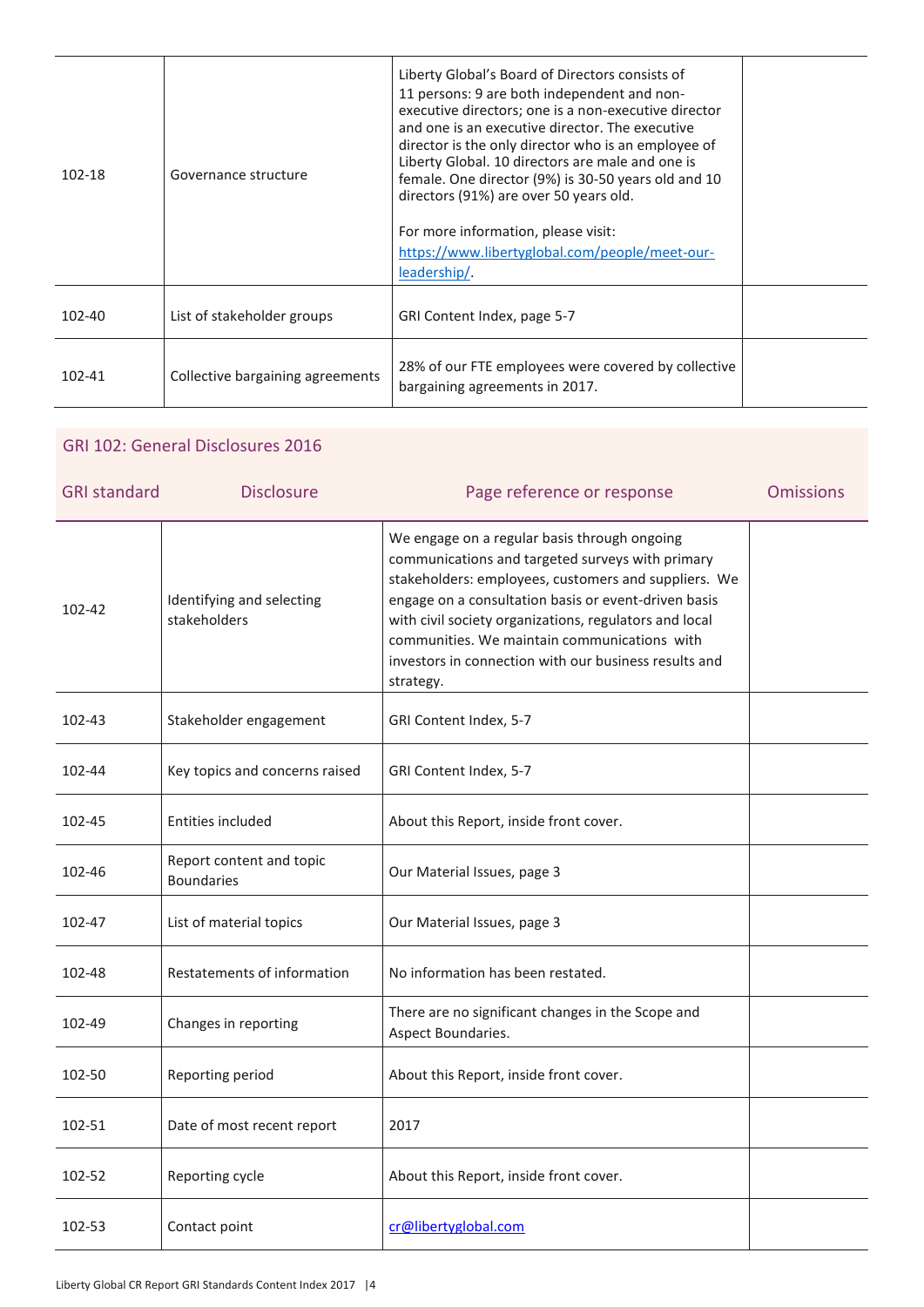| 102-18     | Governance structure             | Liberty Global's Board of Directors consists of<br>11 persons: 9 are both independent and non-<br>executive directors; one is a non-executive director<br>and one is an executive director. The executive<br>director is the only director who is an employee of<br>Liberty Global. 10 directors are male and one is<br>female. One director (9%) is 30-50 years old and 10<br>directors (91%) are over 50 years old.<br>For more information, please visit:<br>https://www.libertyglobal.com/people/meet-our-<br>leadership/. |  |
|------------|----------------------------------|--------------------------------------------------------------------------------------------------------------------------------------------------------------------------------------------------------------------------------------------------------------------------------------------------------------------------------------------------------------------------------------------------------------------------------------------------------------------------------------------------------------------------------|--|
| $102 - 40$ | List of stakeholder groups       | GRI Content Index, page 5-7                                                                                                                                                                                                                                                                                                                                                                                                                                                                                                    |  |
| $102 - 41$ | Collective bargaining agreements | 28% of our FTE employees were covered by collective<br>bargaining agreements in 2017.                                                                                                                                                                                                                                                                                                                                                                                                                                          |  |

## GRI 102: General Disclosures 2016 GRI standard **Disclosure Disclosure** Page reference or response **Omissions** 102-42 Identifying and selecting stakeholders We engage on a regular basis through ongoing communications and targeted surveys with primary stakeholders: employees, customers and suppliers. We engage on a consultation basis or event-driven basis with civil society organizations, regulators and local communities. We maintain communications with investors in connection with our business results and strategy. 102-43 Stakeholder engagement | GRI Content Index, 5-7 102-44 Key topics and concerns raised GRI Content Index, 5-7 102-45 | Entities included | About this Report, inside front cover. 102-46 Report content and topic Boundaries **Boundaries COULD** Our Material Issues, page 3 102-47 | List of material topics | Our Material Issues, page 3 102-48 Restatements of information No information has been restated. 102-49 Changes in reporting There are no significant changes in the Scope and Aspect Boundaries. 102-50 Reporting period About this Report, inside front cover. 102-51 Date of most recent report 2017

102-52 Reporting cycle About this Report, inside front cover.

102-53 Contact point creative creative creative creative creative creative creative creative creative creative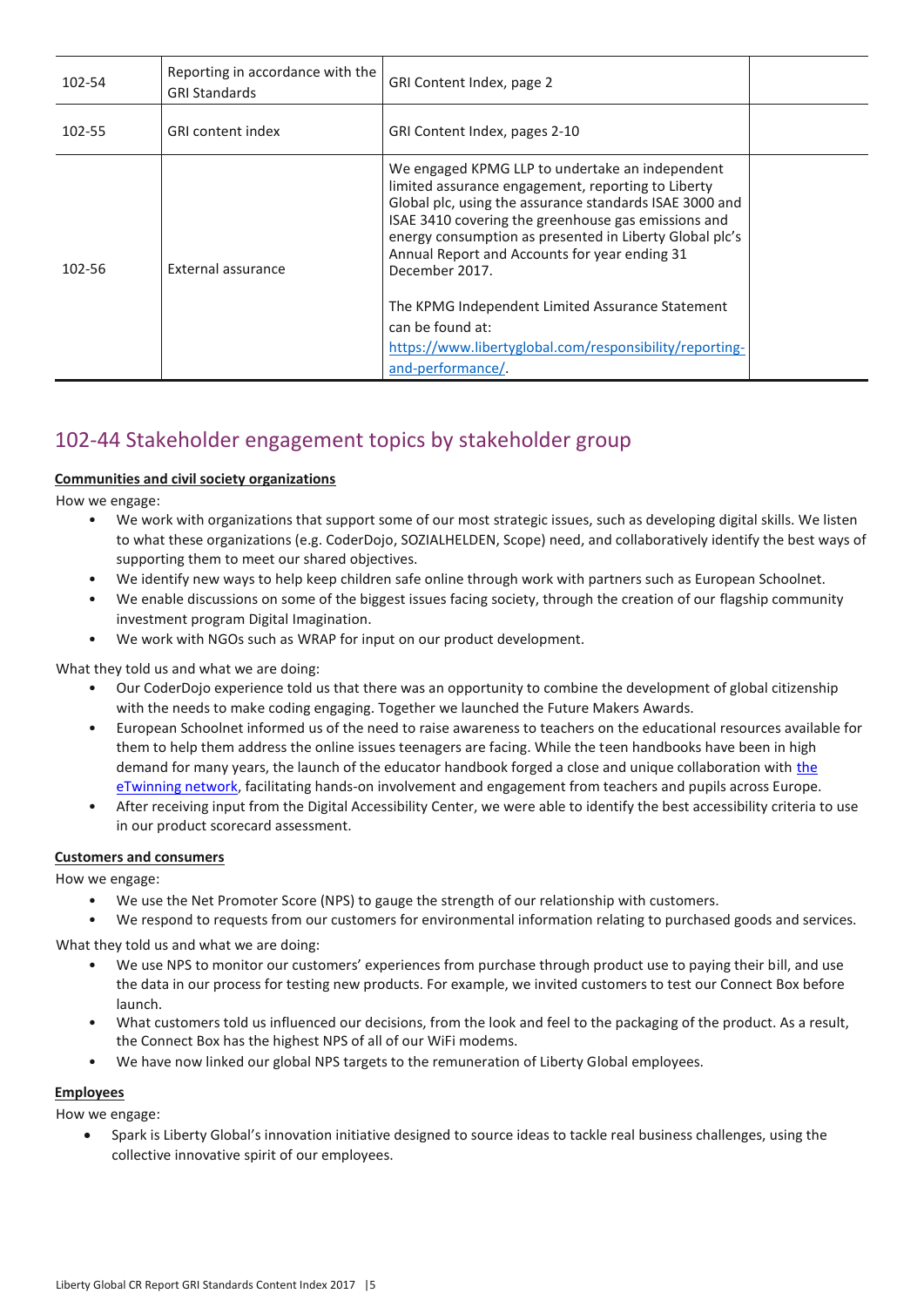| 102-54 | Reporting in accordance with the<br><b>GRI Standards</b> | GRI Content Index, page 2                                                                                                                                                                                                                                                                                                                             |  |
|--------|----------------------------------------------------------|-------------------------------------------------------------------------------------------------------------------------------------------------------------------------------------------------------------------------------------------------------------------------------------------------------------------------------------------------------|--|
| 102-55 | <b>GRI</b> content index                                 | GRI Content Index, pages 2-10                                                                                                                                                                                                                                                                                                                         |  |
| 102-56 | External assurance                                       | We engaged KPMG LLP to undertake an independent<br>limited assurance engagement, reporting to Liberty<br>Global plc, using the assurance standards ISAE 3000 and<br>ISAE 3410 covering the greenhouse gas emissions and<br>energy consumption as presented in Liberty Global plc's<br>Annual Report and Accounts for year ending 31<br>December 2017. |  |
|        |                                                          | The KPMG Independent Limited Assurance Statement<br>can be found at:                                                                                                                                                                                                                                                                                  |  |
|        |                                                          | https://www.libertyglobal.com/responsibility/reporting-<br>and-performance/.                                                                                                                                                                                                                                                                          |  |

## 102-44 Stakeholder engagement topics by stakeholder group

#### **Communities and civil society organizations**

How we engage:

- We work with organizations that support some of our most strategic issues, such as developing digital skills. We listen to what these organizations (e.g. CoderDojo, SOZIALHELDEN, Scope) need, and collaboratively identify the best ways of supporting them to meet our shared objectives.
- We identify new ways to help keep children safe online through work with partners such as European Schoolnet.
- We enable discussions on some of the biggest issues facing society, through the creation of our flagship community investment program Digital Imagination.
- We work with NGOs such as WRAP for input on our product development.

What they told us and what we are doing:

- Our CoderDojo experience told us that there was an opportunity to combine the development of global citizenship with the needs to make coding engaging. Together we launched the Future Makers Awards.
- European Schoolnet informed us of the need to raise awareness to teachers on the educational resources available for them to help them address the online issues teenagers are facing. While the teen handbooks have been in high demand for many years, [the](https://www.etwinning.net/en/pub/index.htm) launch of the educator handbook forged a close and unique collaboration with the [eTwinning network,](https://www.etwinning.net/en/pub/index.htm) facilitating hands-on involvement and engagement from teachers and pupils across Europe.
- After receiving input from the Digital Accessibility Center, we were able to identify the best accessibility criteria to use in our product scorecard assessment.

#### **Customers and consumers**

How we engage:

- We use the Net Promoter Score (NPS) to gauge the strength of our relationship with customers.
- We respond to requests from our customers for environmental information relating to purchased goods and services.

What they told us and what we are doing:

- We use NPS to monitor our customers' experiences from purchase through product use to paying their bill, and use the data in our process for testing new products. For example, we invited customers to test our Connect Box before launch.
- What customers told us influenced our decisions, from the look and feel to the packaging of the product. As a result, the Connect Box has the highest NPS of all of our WiFi modems.
- We have now linked our global NPS targets to the remuneration of Liberty Global employees.

#### **Employees**

How we engage:

 Spark is Liberty Global's innovation initiative designed to source ideas to tackle real business challenges, using the collective innovative spirit of our employees.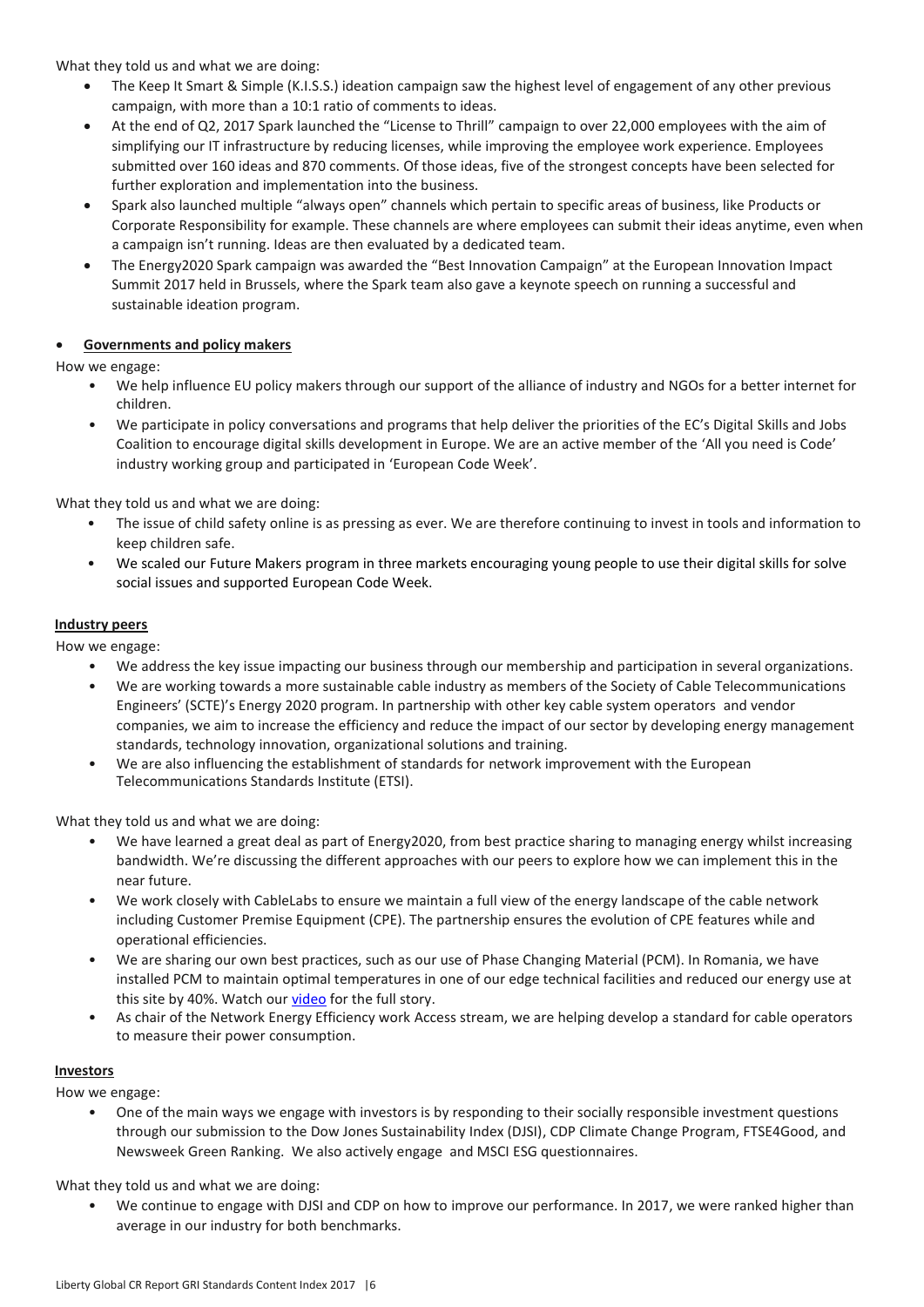What they told us and what we are doing:

- The Keep It Smart & Simple (K.I.S.S.) ideation campaign saw the highest level of engagement of any other previous campaign, with more than a 10:1 ratio of comments to ideas.
- At the end of Q2, 2017 Spark launched the "License to Thrill" campaign to over 22,000 employees with the aim of simplifying our IT infrastructure by reducing licenses, while improving the employee work experience. Employees submitted over 160 ideas and 870 comments. Of those ideas, five of the strongest concepts have been selected for further exploration and implementation into the business.
- Spark also launched multiple "always open" channels which pertain to specific areas of business, like Products or Corporate Responsibility for example. These channels are where employees can submit their ideas anytime, even when a campaign isn't running. Ideas are then evaluated by a dedicated team.
- The Energy2020 Spark campaign was awarded the "Best Innovation Campaign" at the European Innovation Impact Summit 2017 held in Brussels, where the Spark team also gave a keynote speech on running a successful and sustainable ideation program.

#### **Governments and policy makers**

How we engage:

- We help influence EU policy makers through our support of the alliance of industry and NGOs for a better internet for children.
- We participate in policy conversations and programs that help deliver the priorities of the EC's Digital Skills and Jobs Coalition to encourage digital skills development in Europe. We are an active member of the 'All you need is Code' industry working group and participated in 'European Code Week'.

What they told us and what we are doing:

- The issue of child safety online is as pressing as ever. We are therefore continuing to invest in tools and information to keep children safe.
- We scaled our Future Makers program in three markets encouraging young people to use their digital skills for solve social issues and supported European Code Week.

#### **Industry peers**

How we engage:

- We address the key issue impacting our business through our membership and participation in several organizations.
- We are working towards a more sustainable cable industry as members of the Society of Cable Telecommunications Engineers' (SCTE)'s Energy 2020 program. In partnership with other key cable system operators and vendor companies, we aim to increase the efficiency and reduce the impact of our sector by developing energy management standards, technology innovation, organizational solutions and training.
- We are also influencing the establishment of standards for network improvement with the European Telecommunications Standards Institute (ETSI).

What they told us and what we are doing:

- We have learned a great deal as part of Energy2020, from best practice sharing to managing energy whilst increasing bandwidth. We're discussing the different approaches with our peers to explore how we can implement this in the near future.
- We work closely with CableLabs to ensure we maintain a full view of the energy landscape of the cable network including Customer Premise Equipment (CPE). The partnership ensures the evolution of CPE features while and operational efficiencies.
- We are sharing our own best practices, such as our use of Phase Changing Material (PCM). In Romania, we have installed PCM to maintain optimal temperatures in one of our edge technical facilities and reduced our energy use at this site by 40%. Watch our [video f](https://www.youtube.com/watch?v=hP27x91K39I)or the full story.
- As chair of the Network Energy Efficiency work Access stream, we are helping develop a standard for cable operators to measure their power consumption.

#### **Investors**

How we engage:

• One of the main ways we engage with investors is by responding to their socially responsible investment questions through our submission to the Dow Jones Sustainability Index (DJSI), CDP Climate Change Program, FTSE4Good, and Newsweek Green Ranking. We also actively engage and MSCI ESG questionnaires.

What they told us and what we are doing:

• We continue to engage with DJSI and CDP on how to improve our performance. In 2017, we were ranked higher than average in our industry for both benchmarks.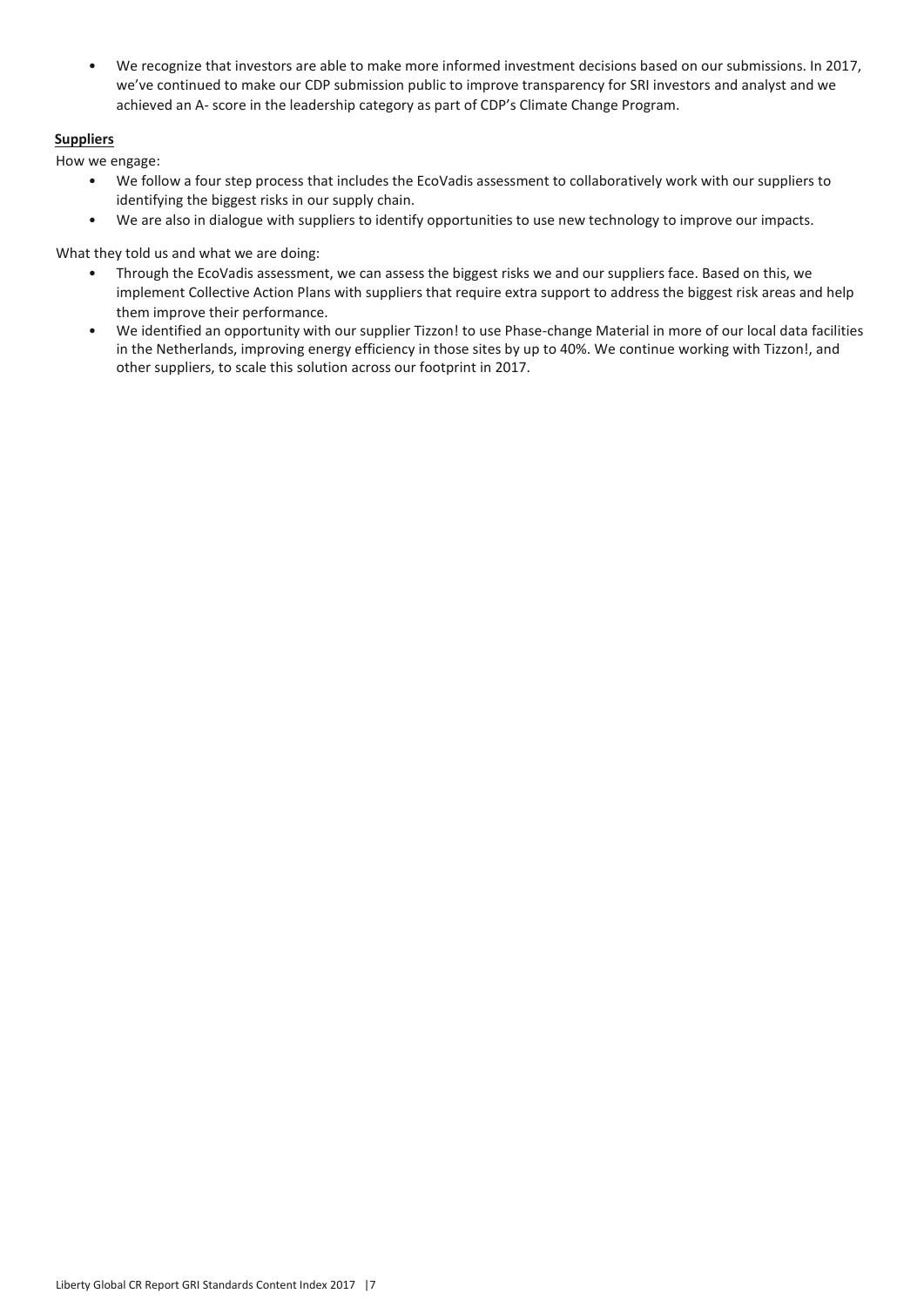• We recognize that investors are able to make more informed investment decisions based on our submissions. In 2017, we've continued to make our CDP submission public to improve transparency for SRI investors and analyst and we achieved an A- score in the leadership category as part of CDP's Climate Change Program.

#### **Suppliers**

How we engage:

- We follow a four step process that includes the EcoVadis assessment to collaboratively work with our suppliers to identifying the biggest risks in our supply chain.
- We are also in dialogue with suppliers to identify opportunities to use new technology to improve our impacts.

What they told us and what we are doing:

- Through the EcoVadis assessment, we can assess the biggest risks we and our suppliers face. Based on this, we implement Collective Action Plans with suppliers that require extra support to address the biggest risk areas and help them improve their performance.
- We identified an opportunity with our supplier Tizzon! to use Phase-change Material in more of our local data facilities in the Netherlands, improving energy efficiency in those sites by up to 40%. We continue working with Tizzon!, and other suppliers, to scale this solution across our footprint in 2017.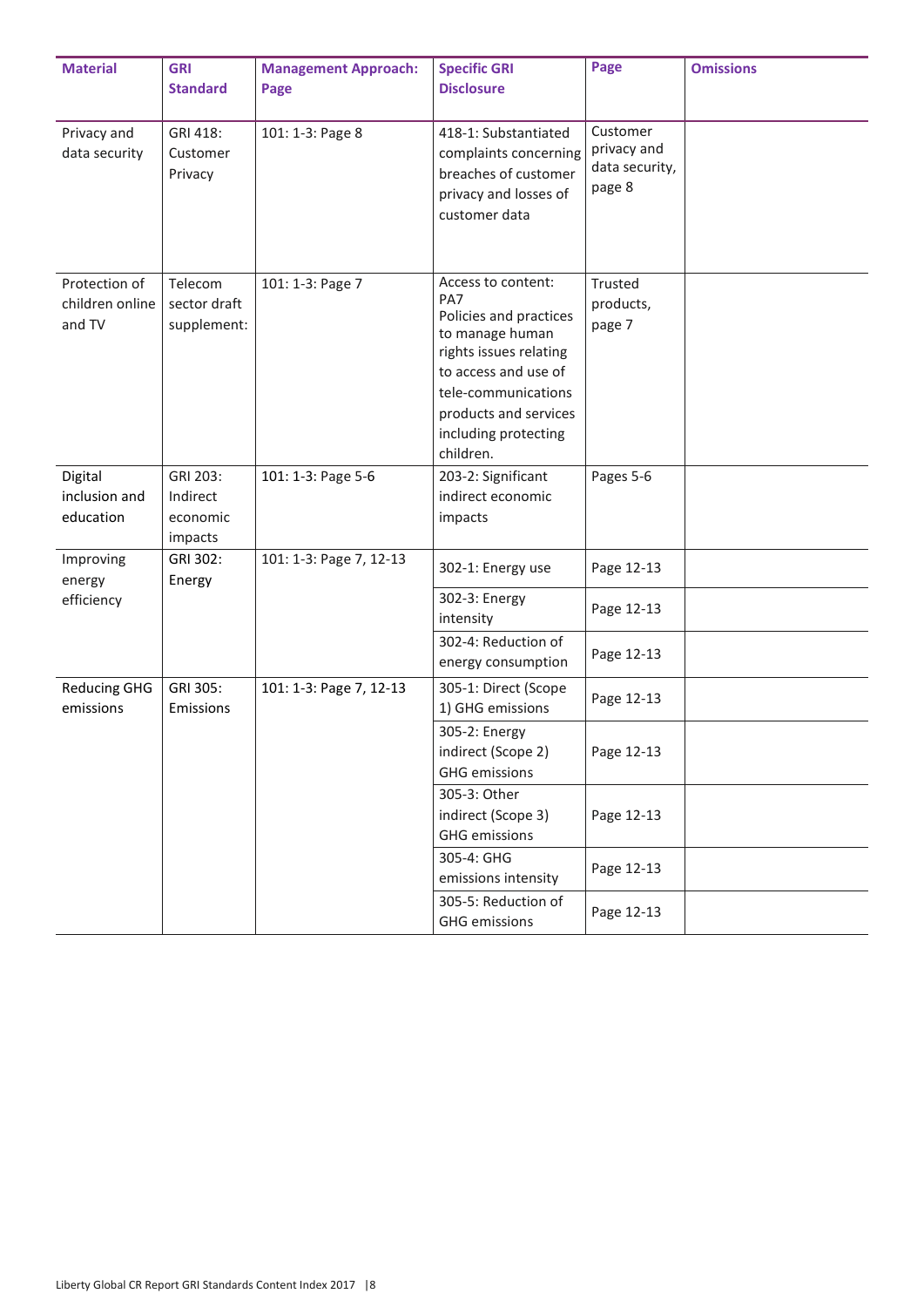| <b>Material</b>                            | <b>GRI</b><br><b>Standard</b>               | <b>Management Approach:</b><br>Page | <b>Specific GRI</b><br><b>Disclosure</b>                                                                                                                                                                      | Page                                                | <b>Omissions</b> |
|--------------------------------------------|---------------------------------------------|-------------------------------------|---------------------------------------------------------------------------------------------------------------------------------------------------------------------------------------------------------------|-----------------------------------------------------|------------------|
| Privacy and<br>data security               | GRI 418:<br>Customer<br>Privacy             | 101: 1-3: Page 8                    | 418-1: Substantiated<br>complaints concerning<br>breaches of customer<br>privacy and losses of<br>customer data                                                                                               | Customer<br>privacy and<br>data security,<br>page 8 |                  |
| Protection of<br>children online<br>and TV | Telecom<br>sector draft<br>supplement:      | 101: 1-3: Page 7                    | Access to content:<br>PA7<br>Policies and practices<br>to manage human<br>rights issues relating<br>to access and use of<br>tele-communications<br>products and services<br>including protecting<br>children. | Trusted<br>products,<br>page 7                      |                  |
| Digital<br>inclusion and<br>education      | GRI 203:<br>Indirect<br>economic<br>impacts | 101: 1-3: Page 5-6                  | 203-2: Significant<br>indirect economic<br>impacts                                                                                                                                                            | Pages 5-6                                           |                  |
| Improving<br>energy                        | GRI 302:<br>Energy                          | 101: 1-3: Page 7, 12-13             | 302-1: Energy use                                                                                                                                                                                             | Page 12-13                                          |                  |
| efficiency                                 |                                             |                                     | 302-3: Energy<br>intensity                                                                                                                                                                                    | Page 12-13                                          |                  |
|                                            |                                             |                                     | 302-4: Reduction of<br>energy consumption                                                                                                                                                                     | Page 12-13                                          |                  |
| <b>Reducing GHG</b><br>emissions           | GRI 305:<br>Emissions                       | 101: 1-3: Page 7, 12-13             | 305-1: Direct (Scope<br>1) GHG emissions                                                                                                                                                                      | Page 12-13                                          |                  |
|                                            |                                             |                                     | 305-2: Energy<br>indirect (Scope 2)<br><b>GHG</b> emissions                                                                                                                                                   | Page 12-13                                          |                  |
|                                            |                                             |                                     | 305-3: Other<br>indirect (Scope 3)<br><b>GHG</b> emissions                                                                                                                                                    | Page 12-13                                          |                  |
|                                            |                                             |                                     | 305-4: GHG<br>emissions intensity                                                                                                                                                                             | Page 12-13                                          |                  |
|                                            |                                             |                                     | 305-5: Reduction of<br><b>GHG</b> emissions                                                                                                                                                                   | Page 12-13                                          |                  |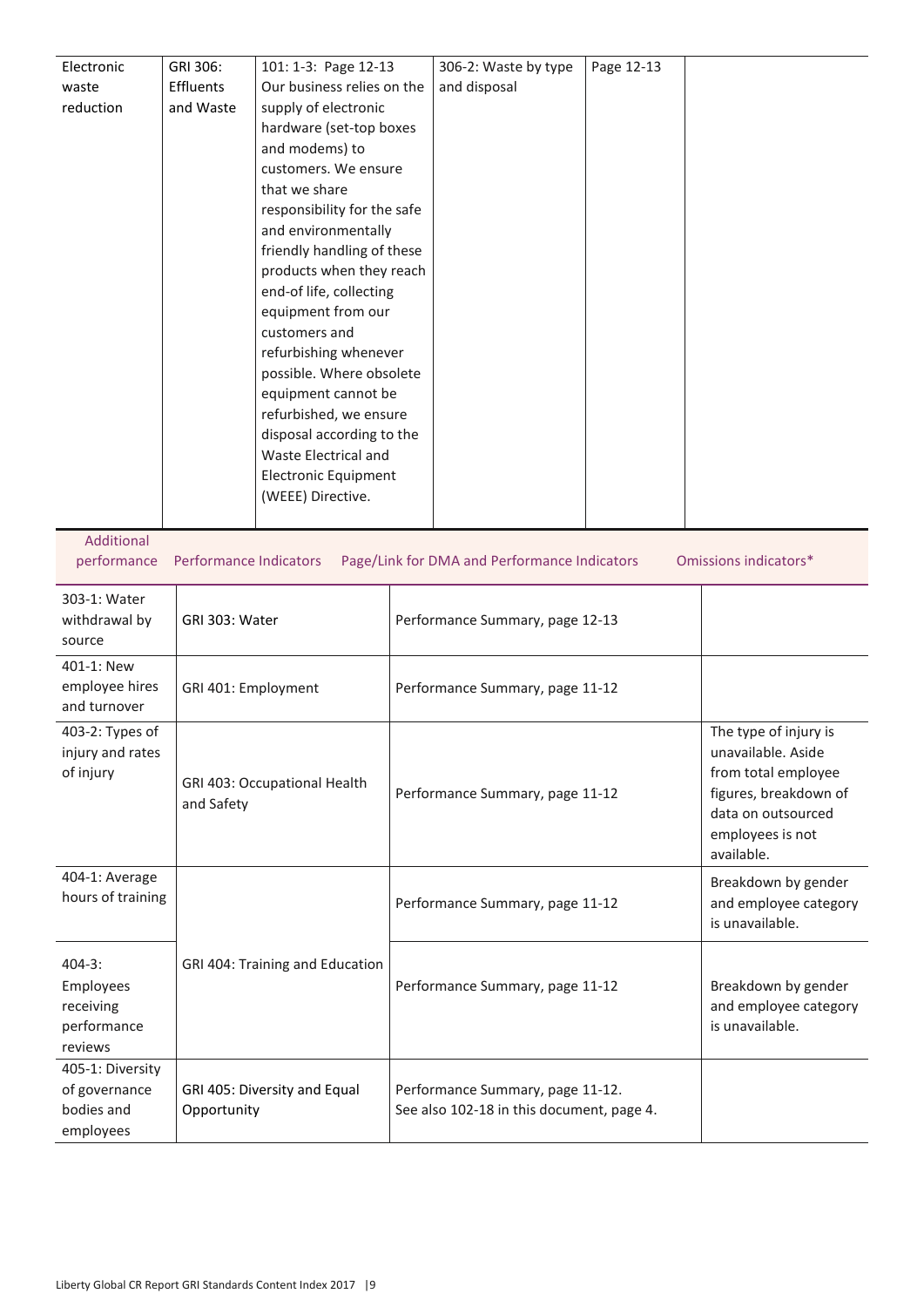| Electronic | GRI 306:  | 101: 1-3: Page 12-13        | 306-2: Waste by type | Page 12-13 |  |
|------------|-----------|-----------------------------|----------------------|------------|--|
| waste      | Effluents | Our business relies on the  | and disposal         |            |  |
| reduction  | and Waste | supply of electronic        |                      |            |  |
|            |           | hardware (set-top boxes     |                      |            |  |
|            |           | and modems) to              |                      |            |  |
|            |           | customers. We ensure        |                      |            |  |
|            |           | that we share               |                      |            |  |
|            |           | responsibility for the safe |                      |            |  |
|            |           | and environmentally         |                      |            |  |
|            |           | friendly handling of these  |                      |            |  |
|            |           | products when they reach    |                      |            |  |
|            |           | end-of life, collecting     |                      |            |  |
|            |           | equipment from our          |                      |            |  |
|            |           | customers and               |                      |            |  |
|            |           | refurbishing whenever       |                      |            |  |
|            |           | possible. Where obsolete    |                      |            |  |
|            |           | equipment cannot be         |                      |            |  |
|            |           | refurbished, we ensure      |                      |            |  |
|            |           | disposal according to the   |                      |            |  |
|            |           | Waste Electrical and        |                      |            |  |
|            |           | <b>Electronic Equipment</b> |                      |            |  |
|            |           | (WEEE) Directive.           |                      |            |  |
|            |           |                             |                      |            |  |

Additional

performance Performance Indicators Page/Link for DMA and Performance Indicators Omissions indicators\*

| 303-1: Water<br>withdrawal by<br>source                        | GRI 303: Water                              | Performance Summary, page 12-13                                               |                                                                                                                                                     |
|----------------------------------------------------------------|---------------------------------------------|-------------------------------------------------------------------------------|-----------------------------------------------------------------------------------------------------------------------------------------------------|
| 401-1: New<br>employee hires<br>and turnover                   | GRI 401: Employment                         | Performance Summary, page 11-12                                               |                                                                                                                                                     |
| 403-2: Types of<br>injury and rates<br>of injury               | GRI 403: Occupational Health<br>and Safety  | Performance Summary, page 11-12                                               | The type of injury is<br>unavailable. Aside<br>from total employee<br>figures, breakdown of<br>data on outsourced<br>employees is not<br>available. |
| 404-1: Average<br>hours of training                            |                                             | Performance Summary, page 11-12                                               | Breakdown by gender<br>and employee category<br>is unavailable.                                                                                     |
| $404 - 3:$<br>Employees<br>receiving<br>performance<br>reviews | GRI 404: Training and Education             | Performance Summary, page 11-12                                               | Breakdown by gender<br>and employee category<br>is unavailable.                                                                                     |
| 405-1: Diversity<br>of governance<br>bodies and<br>employees   | GRI 405: Diversity and Equal<br>Opportunity | Performance Summary, page 11-12.<br>See also 102-18 in this document, page 4. |                                                                                                                                                     |